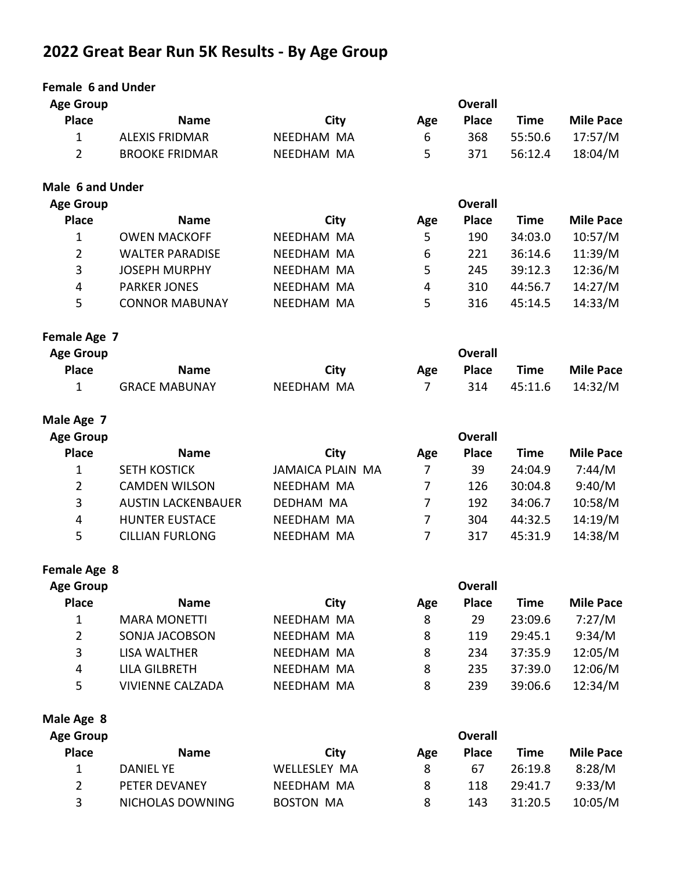# **2022 Great Bear Run 5K Results - By Age Group**

| <b>Female 6 and Under</b> |                           |                         |                |                |             |                  |
|---------------------------|---------------------------|-------------------------|----------------|----------------|-------------|------------------|
| <b>Age Group</b>          |                           |                         |                | <b>Overall</b> |             |                  |
| <b>Place</b>              | <b>Name</b>               | City                    | Age            | <b>Place</b>   | <b>Time</b> | <b>Mile Pace</b> |
| $\mathbf{1}$              | <b>ALEXIS FRIDMAR</b>     | NEEDHAM MA              | 6              | 368            | 55:50.6     | 17:57/M          |
| $\overline{2}$            | <b>BROOKE FRIDMAR</b>     | NEEDHAM MA              | 5              | 371            | 56:12.4     | 18:04/M          |
| Male 6 and Under          |                           |                         |                |                |             |                  |
| <b>Age Group</b>          |                           |                         |                | <b>Overall</b> |             |                  |
| <b>Place</b>              | <b>Name</b>               | City                    | Age            | <b>Place</b>   | <b>Time</b> | <b>Mile Pace</b> |
| 1                         | <b>OWEN MACKOFF</b>       | <b>NEEDHAM MA</b>       | 5              | 190            | 34:03.0     | 10:57/M          |
| $\overline{2}$            | <b>WALTER PARADISE</b>    | NEEDHAM MA              | 6              | 221            | 36:14.6     | 11:39/M          |
| 3                         | <b>JOSEPH MURPHY</b>      | NEEDHAM MA              | 5              | 245            | 39:12.3     | 12:36/M          |
| $\overline{4}$            | <b>PARKER JONES</b>       | NEEDHAM MA              | 4              | 310            | 44:56.7     | 14:27/M          |
| 5                         | <b>CONNOR MABUNAY</b>     | NEEDHAM MA              | 5              | 316            | 45:14.5     | 14:33/M          |
| Female Age 7              |                           |                         |                |                |             |                  |
| <b>Age Group</b>          |                           |                         |                | <b>Overall</b> |             |                  |
| <b>Place</b>              | <b>Name</b>               | City                    | Age            | <b>Place</b>   | <b>Time</b> | <b>Mile Pace</b> |
| 1                         | <b>GRACE MABUNAY</b>      | <b>NEEDHAM MA</b>       | 7              | 314            | 45:11.6     | 14:32/M          |
| Male Age 7                |                           |                         |                |                |             |                  |
| <b>Age Group</b>          |                           |                         |                | <b>Overall</b> |             |                  |
| <b>Place</b>              | <b>Name</b>               | City                    | Age            | <b>Place</b>   | <b>Time</b> | <b>Mile Pace</b> |
| $\mathbf{1}$              | <b>SETH KOSTICK</b>       | <b>JAMAICA PLAIN MA</b> | 7              | 39             | 24:04.9     | 7:44/M           |
| $\overline{2}$            | <b>CAMDEN WILSON</b>      | NEEDHAM MA              | 7              | 126            | 30:04.8     | 9:40/M           |
| 3                         | <b>AUSTIN LACKENBAUER</b> | DEDHAM MA               | $\overline{7}$ | 192            | 34:06.7     | 10:58/M          |
| 4                         | <b>HUNTER EUSTACE</b>     | NEEDHAM MA              | $\overline{7}$ | 304            | 44:32.5     | 14:19/M          |
| 5                         | <b>CILLIAN FURLONG</b>    | NEEDHAM MA              | $\overline{7}$ | 317            | 45:31.9     | 14:38/M          |
| Female Age 8              |                           |                         |                |                |             |                  |
| <b>Age Group</b>          |                           |                         |                | <b>Overall</b> |             |                  |
| <b>Place</b>              | <b>Name</b>               | City                    | Age            | <b>Place</b>   | <b>Time</b> | <b>Mile Pace</b> |
| 1                         | <b>MARA MONETTI</b>       | NEEDHAM MA              | 8              | 29             | 23:09.6     | 7:27/M           |
| $\overline{2}$            | SONJA JACOBSON            | NEEDHAM MA              | 8              | 119            | 29:45.1     | 9:34/M           |
| 3                         | LISA WALTHER              | NEEDHAM MA              | 8              | 234            | 37:35.9     | 12:05/M          |
| 4                         | <b>LILA GILBRETH</b>      | NEEDHAM MA              | 8              | 235            | 37:39.0     | 12:06/M          |
| 5                         | <b>VIVIENNE CALZADA</b>   | NEEDHAM MA              | 8              | 239            | 39:06.6     | 12:34/M          |
| Male Age 8                |                           |                         |                |                |             |                  |
| <b>Age Group</b>          |                           |                         |                | <b>Overall</b> |             |                  |
|                           |                           |                         |                |                |             |                  |

| Place        | <b>Name</b>          | City         | Age | <b>Place</b> | Time    | <b>Mile Pace</b> |
|--------------|----------------------|--------------|-----|--------------|---------|------------------|
| $\mathbf{1}$ | DANIEL YE            | WFLLFSLFY MA |     | 67           | 26:19.8 | 8:28/M           |
|              | <b>PETER DEVANEY</b> | NFFDHAM MA   |     | 118          | 29:41.7 | 9:33/M           |
| - 3          | NICHOLAS DOWNING     | BOSTON MA    |     | 143.         | 31:20.5 | 10:05/M          |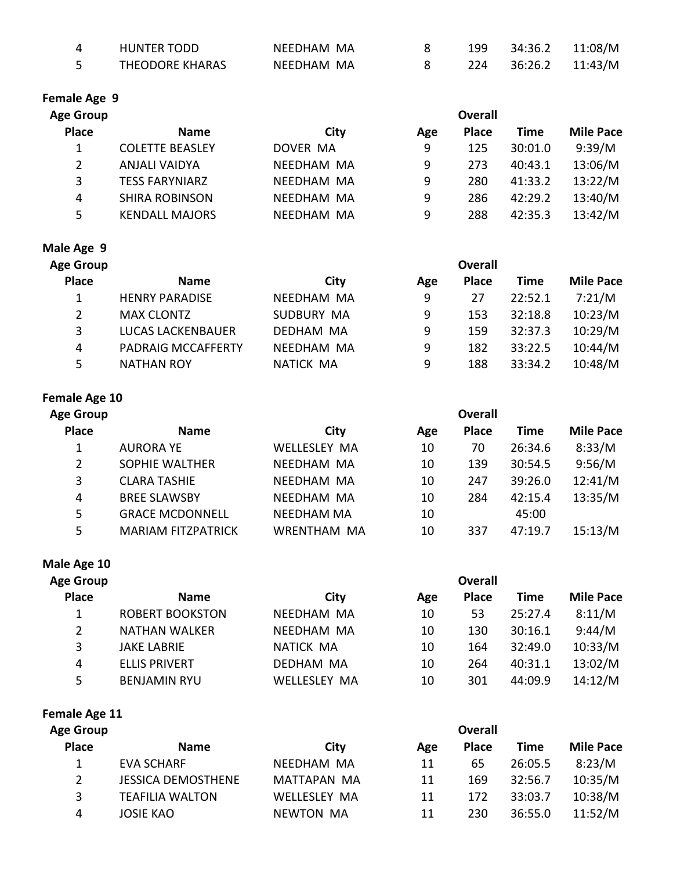| HUNTER TODD     | NFFDHAM MA |  | 199 34:36.2 11:08/M |  |
|-----------------|------------|--|---------------------|--|
| THEODORE KHARAS | NEEDHAM MA |  | 224 36:26.2 11:43/M |  |

# **Female Age 9**

|                        |            |     | <b>Overall</b> |         |                  |
|------------------------|------------|-----|----------------|---------|------------------|
| <b>Name</b>            | City       | Age | <b>Place</b>   | Time    | <b>Mile Pace</b> |
| <b>COLETTE BEASLEY</b> | DOVER MA   | 9   | 125            | 30:01.0 | 9:39/M           |
| ANJALI VAIDYA          | NEEDHAM MA | 9   | 273            | 40:43.1 | 13:06/M          |
| <b>TESS FARYNIARZ</b>  | NEEDHAM MA | 9   | 280            | 41:33.2 | 13:22/M          |
| <b>SHIRA ROBINSON</b>  | NFFDHAM MA | 9   | 286            | 42:29.2 | 13:40/M          |
| <b>KENDALL MAJORS</b>  | NEEDHAM MA | 9   | 288            | 42:35.3 | 13:42/M          |
|                        |            |     |                |         |                  |

# **Male Age 9**

| <b>Age Group</b>      | <b>Overall</b>            |                   |     |              |             |                  |  |
|-----------------------|---------------------------|-------------------|-----|--------------|-------------|------------------|--|
| <b>Place</b>          | <b>Name</b>               | City              | Age | <b>Place</b> | <b>Time</b> | <b>Mile Pace</b> |  |
| 1                     | <b>HENRY PARADISE</b>     | NEEDHAM MA        | 9   | 27           | 22:52.1     | 7:21/M           |  |
| $\mathbf{2}^{\prime}$ | <b>MAX CLONTZ</b>         | <b>SUDBURY MA</b> | 9   | 153          | 32:18.8     | 10:23/M          |  |
| 3                     | <b>LUCAS LACKENBAUER</b>  | <b>DEDHAM MA</b>  | 9   | 159          | 32:37.3     | 10:29/M          |  |
| 4                     | <b>PADRAIG MCCAFFERTY</b> | NEEDHAM MA        | 9   | 182          | 33:22.5     | 10:44/M          |  |
| 5.                    | <b>NATHAN ROY</b>         | NATICK MA         | 9   | 188          | 33:34.2     | 10:48/M          |  |

# **Female Age 10**

| <b>Age Group</b> | <b>Overall</b>            |                     |     |              |             |                  |  |  |
|------------------|---------------------------|---------------------|-----|--------------|-------------|------------------|--|--|
| <b>Place</b>     | <b>Name</b>               | City                | Age | <b>Place</b> | <b>Time</b> | <b>Mile Pace</b> |  |  |
| 1                | <b>AURORA YE</b>          | <b>WELLESLEY MA</b> | 10  | 70           | 26:34.6     | 8:33/M           |  |  |
| 2                | <b>SOPHIE WALTHER</b>     | NEEDHAM MA          | 10  | 139          | 30:54.5     | 9:56/M           |  |  |
| 3                | <b>CLARA TASHIE</b>       | NEEDHAM MA          | 10  | 247          | 39:26.0     | 12:41/M          |  |  |
| 4                | <b>BREE SLAWSBY</b>       | NEEDHAM MA          | 10  | 284          | 42:15.4     | 13:35/M          |  |  |
| 5                | <b>GRACE MCDONNELL</b>    | <b>NEEDHAM MA</b>   | 10  |              | 45:00       |                  |  |  |
| 5                | <b>MARIAM FITZPATRICK</b> | <b>WRENTHAM MA</b>  | 10  | 337          | 47:19.7     | 15:13/M          |  |  |

# **Male Age 10**

| <b>Age Group</b> |                        |                     |     |              |         |                  |
|------------------|------------------------|---------------------|-----|--------------|---------|------------------|
| <b>Place</b>     | <b>Name</b>            | City                | Age | <b>Place</b> | Time    | <b>Mile Pace</b> |
|                  | <b>ROBERT BOOKSTON</b> | NEEDHAM MA          | 10  | 53           | 25:27.4 | 8:11/M           |
| $\overline{2}$   | <b>NATHAN WALKER</b>   | NEEDHAM MA          | 10  | 130          | 30:16.1 | 9:44/M           |
| 3                | <b>JAKE LABRIE</b>     | NATICK MA           | 10  | 164          | 32:49.0 | 10:33/M          |
| 4                | <b>ELLIS PRIVERT</b>   | <b>DEDHAM MA</b>    | 10  | 264          | 40:31.1 | 13:02/M          |
| 5.               | <b>BENJAMIN RYU</b>    | <b>WELLESLEY MA</b> | 10  | 301          | 44:09.9 | 14:12/M          |

Female Age 11

| <b>Age Group</b> | <b>Overall</b>            |                  |     |              |         |                  |  |  |
|------------------|---------------------------|------------------|-----|--------------|---------|------------------|--|--|
| <b>Place</b>     | <b>Name</b>               | City             | Age | <b>Place</b> | Time    | <b>Mile Pace</b> |  |  |
|                  | EVA SCHARF                | NEEDHAM MA       | 11  | 65           | 26:05.5 | 8:23/M           |  |  |
| 2                | <b>JESSICA DEMOSTHENE</b> | MATTAPAN MA      | 11  | 169          | 32:56.7 | 10:35/M          |  |  |
| 3                | <b>TEAFILIA WALTON</b>    | WELLESLEY MA     | 11  | 172          | 33:03.7 | 10:38/M          |  |  |
| 4                | <b>JOSIE KAO</b>          | <b>NEWTON MA</b> | 11  | 230          | 36:55.0 | 11:52/M          |  |  |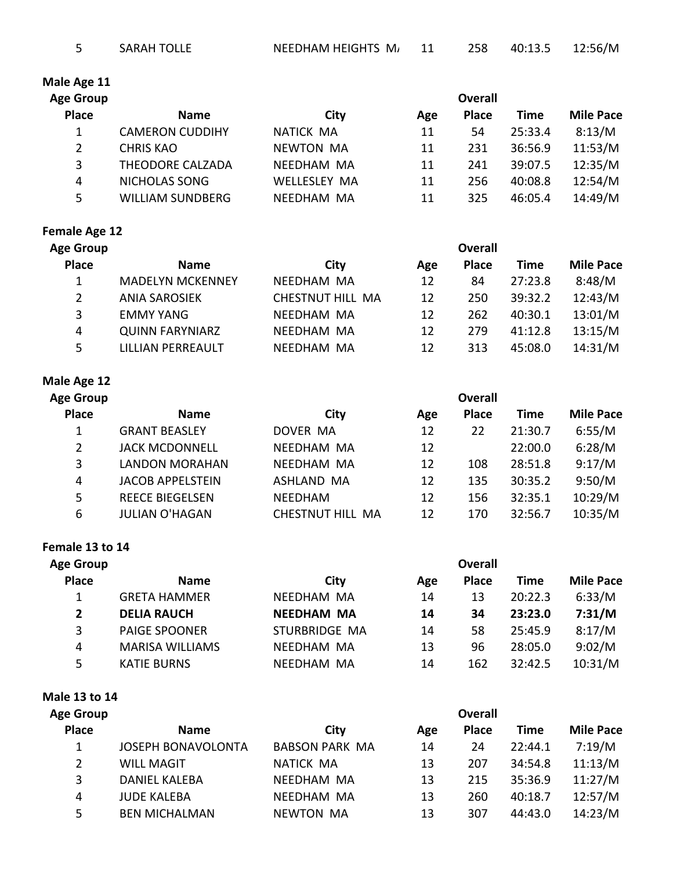**Overall** 

# **Male Age 11**

| Age Group    | <b>Overall</b>          |                     |     |              |             |                  |  |
|--------------|-------------------------|---------------------|-----|--------------|-------------|------------------|--|
| <b>Place</b> | <b>Name</b>             | City                | Age | <b>Place</b> | <b>Time</b> | <b>Mile Pace</b> |  |
|              | <b>CAMERON CUDDIHY</b>  | NATICK MA           | 11  | 54           | 25:33.4     | 8:13/M           |  |
|              | <b>CHRIS KAO</b>        | <b>NEWTON MA</b>    | 11  | 231          | 36:56.9     | 11:53/M          |  |
| 3            | <b>THEODORE CALZADA</b> | NFFDHAM MA          | 11  | 241          | 39:07.5     | 12:35/M          |  |
| 4            | <b>NICHOLAS SONG</b>    | <b>WELLESLEY MA</b> | 11  | 256          | 40:08.8     | 12:54/M          |  |
| 5            | <b>WILLIAM SUNDBERG</b> | NEEDHAM MA          | 11  | 325          | 46:05.4     | 14:49/M          |  |

# **Female Age 12**

**Age Group** 

| ge Group       | <b>Overall</b>           |                  |     |              |             |                  |  |
|----------------|--------------------------|------------------|-----|--------------|-------------|------------------|--|
| <b>Place</b>   | <b>Name</b>              | City             | Age | <b>Place</b> | <b>Time</b> | <b>Mile Pace</b> |  |
| 1              | <b>MADELYN MCKENNEY</b>  | NEEDHAM MA       | 12  | 84           | 27:23.8     | 8:48/M           |  |
| $\overline{2}$ | <b>ANIA SAROSIEK</b>     | CHESTNUT HILL MA | 12  | 250          | 39:32.2     | 12:43/M          |  |
| 3              | <b>EMMY YANG</b>         | NEEDHAM MA       | 12  | 262          | 40:30.1     | 13:01/M          |  |
| 4              | <b>QUINN FARYNIARZ</b>   | NEEDHAM MA       | 12  | 279          | 41:12.8     | 13:15/M          |  |
| 5              | <b>LILLIAN PERREAULT</b> | NEEDHAM MA       | 12  | 313          | 45:08.0     | 14:31/M          |  |

### **Male Age 12**

**Age Group** 

| <b>Place</b> | <b>Name</b>             | City             | Age | <b>Place</b> | Time    | <b>Mile Pace</b> |
|--------------|-------------------------|------------------|-----|--------------|---------|------------------|
| 1            | <b>GRANT BEASLEY</b>    | DOVER MA         | 12  | 22           | 21:30.7 | 6:55/M           |
| 2            | <b>JACK MCDONNELL</b>   | NEEDHAM MA       | 12  |              | 22:00.0 | 6:28/M           |
| 3            | <b>LANDON MORAHAN</b>   | NEEDHAM MA       | 12  | 108          | 28:51.8 | 9:17/M           |
| 4            | <b>JACOB APPELSTEIN</b> | ASHLAND MA       | 12  | 135          | 30:35.2 | 9:50/M           |
| 5            | <b>REECE BIEGELSEN</b>  | <b>NEEDHAM</b>   | 12  | 156          | 32:35.1 | 10:29/M          |
| 6            | <b>JULIAN O'HAGAN</b>   | CHESTNUT HILL MA | 12  | 170          | 32:56.7 | 10:35/M          |

#### **Female 13 to 14**

| Age Group    |                        | <b>Overall</b>    |     |              |             |                  |  |
|--------------|------------------------|-------------------|-----|--------------|-------------|------------------|--|
| <b>Place</b> | <b>Name</b>            | City              | Age | <b>Place</b> | <b>Time</b> | <b>Mile Pace</b> |  |
|              | <b>GRETA HAMMER</b>    | NEEDHAM MA        | 14  | 13           | 20:22.3     | 6:33/M           |  |
| $\mathbf{2}$ | <b>DELIA RAUCH</b>     | <b>NEEDHAM MA</b> | 14  | 34           | 23:23.0     | 7:31/M           |  |
| 3            | <b>PAIGE SPOONER</b>   | STURBRIDGE MA     | 14  | 58           | 25:45.9     | 8:17/M           |  |
| 4            | <b>MARISA WILLIAMS</b> | NEEDHAM MA        | 13  | 96           | 28:05.0     | 9:02/M           |  |
| 5            | <b>KATIE BURNS</b>     | NEEDHAM MA        | 14  | 162          | 32:42.5     | 10:31/M          |  |

**Male 13 to 14**

| <b>Age Group</b>      |                           | <b>Overall</b>        |     |              |         |                  |  |  |
|-----------------------|---------------------------|-----------------------|-----|--------------|---------|------------------|--|--|
| <b>Place</b>          | <b>Name</b>               | City                  | Age | <b>Place</b> | Time    | <b>Mile Pace</b> |  |  |
|                       | <b>JOSEPH BONAVOLONTA</b> | <b>BABSON PARK MA</b> | 14  | 24           | 22:44.1 | 7:19/M           |  |  |
| $\mathbf{2}^{\prime}$ | <b>WILL MAGIT</b>         | NATICK MA             | 13  | 207          | 34:54.8 | 11:13/M          |  |  |
| 3                     | <b>DANIEL KALEBA</b>      | NEEDHAM MA            | 13  | 215          | 35:36.9 | 11:27/M          |  |  |
| 4                     | <b>JUDE KALEBA</b>        | NEEDHAM MA            | 13  | 260          | 40:18.7 | 12:57/M          |  |  |
| 5                     | <b>BEN MICHALMAN</b>      | <b>NEWTON</b><br>MA   | 13  | 307          | 44:43.0 | 14:23/M          |  |  |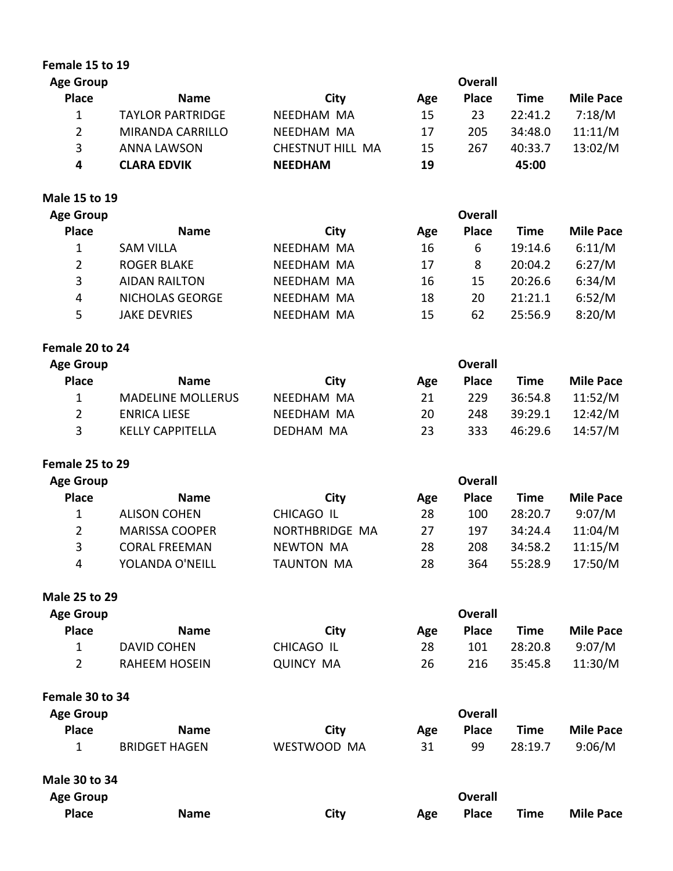| Female 15 to 19      |                          |                   |     |                |             |                  |
|----------------------|--------------------------|-------------------|-----|----------------|-------------|------------------|
| <b>Age Group</b>     |                          |                   |     | <b>Overall</b> |             |                  |
| <b>Place</b>         | <b>Name</b>              | <b>City</b>       | Age | <b>Place</b>   | <b>Time</b> | <b>Mile Pace</b> |
| $\mathbf{1}$         | <b>TAYLOR PARTRIDGE</b>  | NEEDHAM MA        | 15  | 23             | 22:41.2     | 7:18/M           |
| $\overline{2}$       | <b>MIRANDA CARRILLO</b>  | NEEDHAM MA        | 17  | 205            | 34:48.0     | 11:11/M          |
| 3                    | <b>ANNA LAWSON</b>       | CHESTNUT HILL MA  | 15  | 267            | 40:33.7     | 13:02/M          |
| 4                    | <b>CLARA EDVIK</b>       | <b>NEEDHAM</b>    | 19  |                | 45:00       |                  |
| Male 15 to 19        |                          |                   |     |                |             |                  |
| <b>Age Group</b>     |                          |                   |     | <b>Overall</b> |             |                  |
| <b>Place</b>         | <b>Name</b>              | City              | Age | <b>Place</b>   | <b>Time</b> | <b>Mile Pace</b> |
| 1                    | <b>SAM VILLA</b>         | NEEDHAM MA        | 16  | 6              | 19:14.6     | 6:11/M           |
| $\overline{2}$       | <b>ROGER BLAKE</b>       | NEEDHAM MA        | 17  | 8              | 20:04.2     | 6:27/M           |
| 3                    | <b>AIDAN RAILTON</b>     | NEEDHAM MA        | 16  | 15             | 20:26.6     | 6:34/M           |
| 4                    | NICHOLAS GEORGE          | NEEDHAM MA        | 18  | 20             | 21:21.1     | 6:52/M           |
| 5                    | <b>JAKE DEVRIES</b>      | NEEDHAM MA        | 15  | 62             | 25:56.9     | 8:20/M           |
| Female 20 to 24      |                          |                   |     |                |             |                  |
| <b>Age Group</b>     |                          |                   |     | <b>Overall</b> |             |                  |
| <b>Place</b>         | <b>Name</b>              | City              | Age | <b>Place</b>   | <b>Time</b> | <b>Mile Pace</b> |
| 1                    | <b>MADELINE MOLLERUS</b> | NEEDHAM MA        | 21  | 229            | 36:54.8     | 11:52/M          |
| $\overline{2}$       | <b>ENRICA LIESE</b>      | NEEDHAM MA        | 20  | 248            | 39:29.1     | 12:42/M          |
| 3                    | <b>KELLY CAPPITELLA</b>  | DEDHAM MA         | 23  | 333            | 46:29.6     | 14:57/M          |
| Female 25 to 29      |                          |                   |     |                |             |                  |
| <b>Age Group</b>     |                          |                   |     | <b>Overall</b> |             |                  |
| <b>Place</b>         | <b>Name</b>              | City              | Age | <b>Place</b>   | <b>Time</b> | <b>Mile Pace</b> |
| 1                    | <b>ALISON COHEN</b>      | CHICAGO IL        | 28  | 100            | 28:20.7     | 9:07/M           |
| $\overline{2}$       | <b>MARISSA COOPER</b>    | NORTHBRIDGE MA    | 27  | 197            | 34:24.4     | 11:04/M          |
| 3                    | <b>CORAL FREEMAN</b>     | <b>NEWTON MA</b>  | 28  | 208            | 34:58.2     | 11:15/M          |
| 4                    | YOLANDA O'NEILL          | <b>TAUNTON MA</b> | 28  | 364            | 55:28.9     | 17:50/M          |
| <b>Male 25 to 29</b> |                          |                   |     |                |             |                  |
| <b>Age Group</b>     |                          |                   |     | <b>Overall</b> |             |                  |
| <b>Place</b>         | <b>Name</b>              | City              | Age | <b>Place</b>   | <b>Time</b> | <b>Mile Pace</b> |
| 1                    | <b>DAVID COHEN</b>       | <b>CHICAGO IL</b> | 28  | 101            | 28:20.8     | 9:07/M           |
| 2                    | <b>RAHEEM HOSEIN</b>     | <b>QUINCY MA</b>  | 26  | 216            | 35:45.8     | 11:30/M          |
| Female 30 to 34      |                          |                   |     |                |             |                  |
| <b>Age Group</b>     |                          |                   |     | <b>Overall</b> |             |                  |
| <b>Place</b>         | <b>Name</b>              | City              | Age | <b>Place</b>   | <b>Time</b> | <b>Mile Pace</b> |
| 1                    | <b>BRIDGET HAGEN</b>     | WESTWOOD MA       | 31  | 99             | 28:19.7     | 9:06/M           |
| <b>Male 30 to 34</b> |                          |                   |     |                |             |                  |
| <b>Age Group</b>     |                          |                   |     | <b>Overall</b> |             |                  |
| <b>Place</b>         | <b>Name</b>              | <b>City</b>       | Age | <b>Place</b>   | <b>Time</b> | <b>Mile Pace</b> |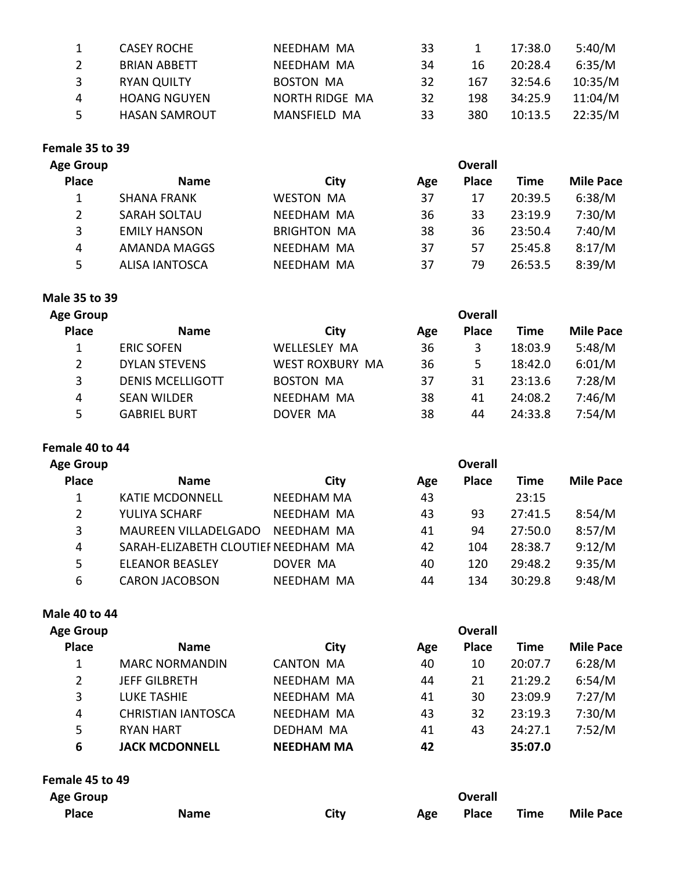| <b>CASEY ROCHE</b>   | NEEDHAM MA       | 33 |     | 17:38.0 | 5:40/M  |
|----------------------|------------------|----|-----|---------|---------|
| <b>BRIAN ABBETT</b>  | NFFDHAM MA       | 34 | 16  | 20:28.4 | 6:35/M  |
| <b>RYAN QUILTY</b>   | <b>BOSTON MA</b> | 32 | 167 | 32:54.6 | 10:35/M |
| <b>HOANG NGUYEN</b>  | NORTH RIDGE MA   | 32 | 198 | 34:25.9 | 11:04/M |
| <b>HASAN SAMROUT</b> | MANSFIELD MA     | 33 | 380 | 10:13.5 | 22:35/M |
|                      |                  |    |     |         |         |

# **Female 35 to 39**

| <b>Age Group</b>      |                       |                    |     |              |         |                  |
|-----------------------|-----------------------|--------------------|-----|--------------|---------|------------------|
| <b>Place</b>          | <b>Name</b>           | City               | Age | <b>Place</b> | Time    | <b>Mile Pace</b> |
|                       | <b>SHANA FRANK</b>    | <b>WESTON MA</b>   | 37  | 17           | 20:39.5 | 6:38/M           |
| $\mathbf{2}^{\prime}$ | <b>SARAH SOLTAU</b>   | NEEDHAM MA         | 36  | 33           | 23:19.9 | 7:30/M           |
| 3                     | <b>EMILY HANSON</b>   | <b>BRIGHTON MA</b> | 38  | 36           | 23:50.4 | 7:40/M           |
| 4                     | AMANDA MAGGS          | NEEDHAM MA         | 37  | 57           | 25:45.8 | 8:17/M           |
| 5                     | <b>ALISA IANTOSCA</b> | NEEDHAM MA         | 37  | 79           | 26:53.5 | 8:39/M           |
|                       |                       |                    |     |              |         |                  |

# **Male 35 to 39**

| <b>Age Group</b>      | <b>Overall</b>          |                        |     |              |         |                  |  |  |
|-----------------------|-------------------------|------------------------|-----|--------------|---------|------------------|--|--|
| <b>Place</b>          | <b>Name</b>             | City                   | Age | <b>Place</b> | Time    | <b>Mile Pace</b> |  |  |
|                       | <b>ERIC SOFEN</b>       | <b>WELLESLEY MA</b>    | 36  | 3            | 18:03.9 | 5:48/M           |  |  |
| $\mathbf{2}^{\prime}$ | <b>DYLAN STEVENS</b>    | <b>WEST ROXBURY MA</b> | 36  | 5            | 18:42.0 | 6:01/M           |  |  |
| 3                     | <b>DENIS MCELLIGOTT</b> | <b>BOSTON MA</b>       | 37  | 31           | 23:13.6 | 7:28/M           |  |  |
| 4                     | <b>SEAN WILDER</b>      | NEEDHAM MA             | 38  | 41           | 24:08.2 | 7:46/M           |  |  |
| 5                     | <b>GABRIEL BURT</b>     | DOVER MA               | 38  | 44           | 24:33.8 | 7:54/M           |  |  |
|                       |                         |                        |     |              |         |                  |  |  |

#### Female 40 to 44

| <b>Age Group</b> | <b>Overall</b>                      |            |     |              |             |                  |
|------------------|-------------------------------------|------------|-----|--------------|-------------|------------------|
| <b>Place</b>     | <b>Name</b>                         | City       | Age | <b>Place</b> | <b>Time</b> | <b>Mile Pace</b> |
| 1                | <b>KATIE MCDONNELL</b>              | NEEDHAM MA | 43  |              | 23:15       |                  |
| 2                | YULIYA SCHARF                       | NEEDHAM MA | 43  | 93           | 27:41.5     | 8:54/M           |
| 3                | <b>MAUREEN VILLADELGADO</b>         | NEEDHAM MA | 41  | 94           | 27:50.0     | 8:57/M           |
| 4                | SARAH-ELIZABETH CLOUTIEF NEEDHAM MA |            | 42  | 104          | 28:38.7     | 9:12/M           |
| 5                | <b>ELEANOR BEASLEY</b>              | DOVER MA   | 40  | 120          | 29:48.2     | 9:35/M           |
| 6                | <b>CARON JACOBSON</b>               | NFFDHAM MA | 44  | 134          | 30:29.8     | 9:48/M           |

#### **Male 40 to 44**

| <b>Age Group</b> |                           |                   |     | <b>Overall</b> |             |                  |
|------------------|---------------------------|-------------------|-----|----------------|-------------|------------------|
| <b>Place</b>     | <b>Name</b>               | City              | Age | <b>Place</b>   | <b>Time</b> | <b>Mile Pace</b> |
| 1                | <b>MARC NORMANDIN</b>     | <b>CANTON MA</b>  | 40  | 10             | 20:07.7     | 6:28/M           |
| 2                | <b>JEFF GILBRETH</b>      | NEEDHAM MA        | 44  | 21             | 21:29.2     | 6:54/M           |
| 3                | <b>LUKE TASHIE</b>        | NEEDHAM MA        | 41  | 30             | 23:09.9     | 7:27/M           |
| 4                | <b>CHRISTIAN IANTOSCA</b> | NEEDHAM MA        | 43  | 32             | 23:19.3     | 7:30/M           |
| 5                | <b>RYAN HART</b>          | DEDHAM MA         | 41  | 43             | 24:27.1     | 7:52/M           |
| 6                | <b>JACK MCDONNELL</b>     | <b>NEEDHAM MA</b> | 42  |                | 35:07.0     |                  |
| Female 45 to 49  |                           |                   |     |                |             |                  |
| <b>Age Group</b> |                           |                   |     | <b>Overall</b> |             |                  |

| $1.52$ and $4.75$ |             |      | ------ |  |  |                      |  |
|-------------------|-------------|------|--------|--|--|----------------------|--|
| <b>Place</b>      | <b>Name</b> | City | Age    |  |  | Place Time Mile Pace |  |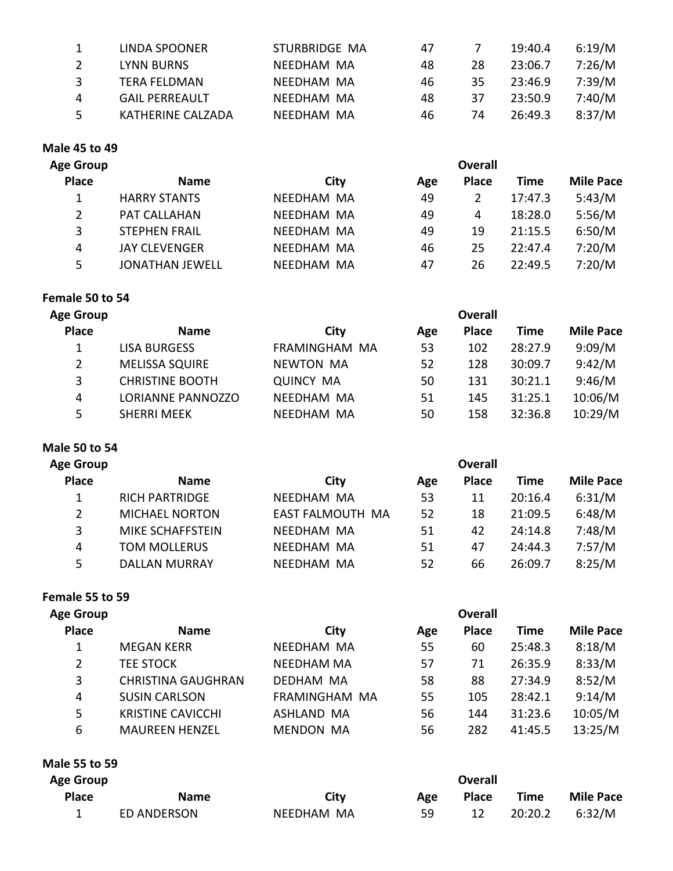|   | LINDA SPOONER         | STURBRIDGE MA | 47 |    | 19:40.4 | 6:19/M |
|---|-----------------------|---------------|----|----|---------|--------|
|   | <b>LYNN BURNS</b>     | NEEDHAM MA    | 48 | 28 | 23:06.7 | 7:26/M |
| २ | TFRA FFLDMAN          | NFFDHAM MA    | 46 | 35 | 23:46.9 | 7:39/M |
| 4 | <b>GAIL PERREAULT</b> | NFFDHAM MA    | 48 | 37 | 23:50.9 | 7:40/M |
| 5 | KATHERINE CALZADA     | NFFDHAM MA    | 46 | 74 | 26:49.3 | 8:37/M |

# **Male 45 to 49**

| <b>Age Group</b>      |                        |            | <b>Overall</b> |              |         |                  |  |
|-----------------------|------------------------|------------|----------------|--------------|---------|------------------|--|
| <b>Place</b>          | <b>Name</b>            | City       | Age            | <b>Place</b> | Time    | <b>Mile Pace</b> |  |
|                       | <b>HARRY STANTS</b>    | NEEDHAM MA | 49             |              | 17:47.3 | 5:43/M           |  |
| $\mathbf{2}^{\prime}$ | <b>PAT CALLAHAN</b>    | NEEDHAM MA | 49             | 4            | 18:28.0 | 5:56/M           |  |
| 3                     | <b>STEPHEN FRAIL</b>   | NEEDHAM MA | 49             | 19           | 21:15.5 | 6:50/M           |  |
| 4                     | <b>JAY CLEVENGER</b>   | NEEDHAM MA | 46             | 25           | 22:47.4 | 7:20/M           |  |
| 5                     | <b>JONATHAN JEWELL</b> | NEEDHAM MA | 47             | 26           | 22:49.5 | 7:20/M           |  |

# **Female 50 to 54**

| <b>Overall</b>         |                  |     |              |             |                  |  |  |
|------------------------|------------------|-----|--------------|-------------|------------------|--|--|
| <b>Name</b>            | City             | Age | <b>Place</b> | <b>Time</b> | <b>Mile Pace</b> |  |  |
| <b>LISA BURGESS</b>    | FRAMINGHAM MA    | 53  | 102          | 28:27.9     | 9:09/M           |  |  |
| <b>MELISSA SQUIRE</b>  | <b>NEWTON MA</b> | 52  | 128          | 30:09.7     | 9:42/M           |  |  |
| <b>CHRISTINE BOOTH</b> | <b>QUINCY MA</b> | 50  | 131          | 30:21.1     | 9:46/M           |  |  |
| LORIANNE PANNOZZO      | NEEDHAM MA       | 51  | 145          | 31:25.1     | 10:06/M          |  |  |
| <b>SHERRI MEEK</b>     | NEEDHAM MA       | 50  | 158          | 32:36.8     | 10:29/M          |  |  |
|                        |                  |     |              |             |                  |  |  |

# **Male 50 to 54**

| Age Group    |                       | <b>Overall</b>   |     |              |             |                  |  |
|--------------|-----------------------|------------------|-----|--------------|-------------|------------------|--|
| <b>Place</b> | <b>Name</b>           | City             | Age | <b>Place</b> | <b>Time</b> | <b>Mile Pace</b> |  |
|              | <b>RICH PARTRIDGE</b> | NEEDHAM MA       | 53  | 11           | 20:16.4     | 6:31/M           |  |
| 2            | <b>MICHAEL NORTON</b> | EAST FALMOUTH MA | 52  | 18           | 21:09.5     | 6:48/M           |  |
| 3            | MIKE SCHAFFSTEIN      | NFFDHAM MA       | 51  | 42           | 24:14.8     | 7:48/M           |  |
| 4            | <b>TOM MOLLERUS</b>   | NEEDHAM MA       | 51  | 47           | 24:44.3     | 7:57/M           |  |
| 5.           | <b>DALLAN MURRAY</b>  | NEEDHAM MA       | 52  | 66           | 26:09.7     | 8:25/M           |  |
|              |                       |                  |     |              |             |                  |  |

### **Female 55 to 59**

| <b>Age Group</b> |                           | <b>Overall</b>    |     |              |             |                  |  |  |
|------------------|---------------------------|-------------------|-----|--------------|-------------|------------------|--|--|
| <b>Place</b>     | <b>Name</b>               | City              | Age | <b>Place</b> | <b>Time</b> | <b>Mile Pace</b> |  |  |
|                  | <b>MEGAN KERR</b>         | NEEDHAM MA        | 55  | 60           | 25:48.3     | 8:18/M           |  |  |
| $\overline{2}$   | <b>TEE STOCK</b>          | <b>NEEDHAM MA</b> | 57  | 71           | 26:35.9     | 8:33/M           |  |  |
| 3                | <b>CHRISTINA GAUGHRAN</b> | DEDHAM MA         | 58  | 88           | 27:34.9     | 8:52/M           |  |  |
| 4                | <b>SUSIN CARLSON</b>      | FRAMINGHAM MA     | 55  | 105          | 28:42.1     | 9:14/M           |  |  |
| 5                | <b>KRISTINE CAVICCHI</b>  | ASHLAND MA        | 56  | 144          | 31:23.6     | 10:05/M          |  |  |
| 6                | <b>MAUREEN HENZEL</b>     | <b>MENDON MA</b>  | 56  | 282          | 41:45.5     | 13:25/M          |  |  |

### **Male 55 to 59**

| <b>Age Group</b> |             |            | Overall |              |         |                  |  |  |  |
|------------------|-------------|------------|---------|--------------|---------|------------------|--|--|--|
| <b>Place</b>     | <b>Name</b> | City       | Age     | <b>Place</b> | Time    | <b>Mile Pace</b> |  |  |  |
|                  | ED ANDERSON | NEEDHAM MA | 59      |              | 20:20.2 | 6:32/M           |  |  |  |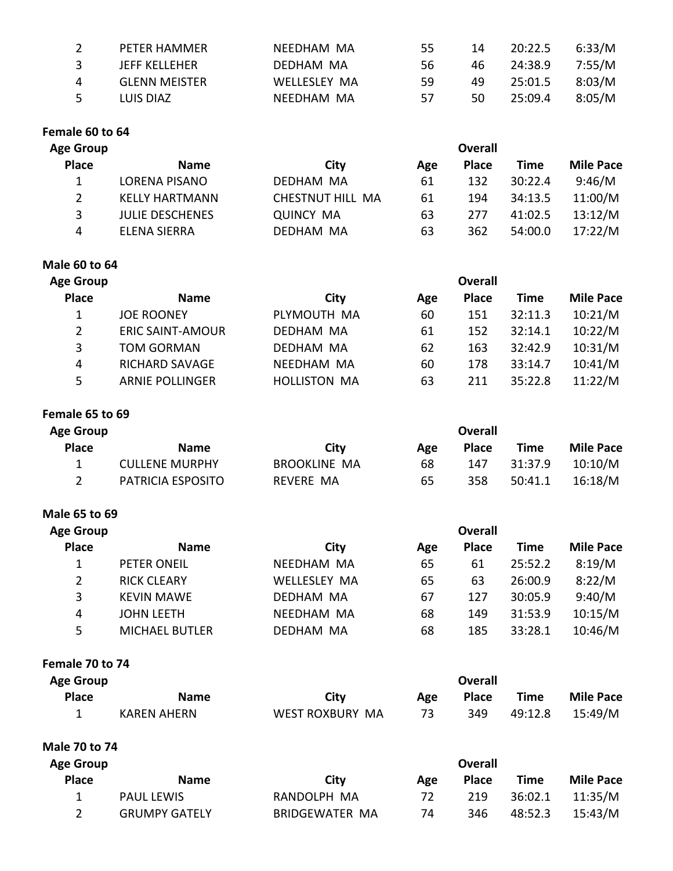| 2    | PETER HAMMER         | NEEDHAM MA   | 55. | 14   | 20:22.5        | 6:33/M |
|------|----------------------|--------------|-----|------|----------------|--------|
| 3.   | JEFF KELLEHER        | DEDHAM MA    | 56. | 46 — | 24:38.9 7:55/M |        |
| 4    | <b>GLENN MEISTER</b> | WELLESLEY MA | 59  | 49.  | 25:01.5        | 8:03/M |
| $-5$ | LUIS DIAZ            | NFFDHAM MA   | 57  | 50   | 25:09.4        | 8:05/M |

#### **Female 60 to 64**

| <b>Age Group</b> |                        |                  | <b>Overall</b> |              |         |                  |
|------------------|------------------------|------------------|----------------|--------------|---------|------------------|
| <b>Place</b>     | <b>Name</b>            | City             | Age            | <b>Place</b> | Time    | <b>Mile Pace</b> |
|                  | LORENA PISANO          | DEDHAM MA        | 61             | 132          | 30:22.4 | 9:46/M           |
| $2^{\circ}$      | <b>KELLY HARTMANN</b>  | CHESTNUT HILL MA | 61             | 194          | 34:13.5 | 11:00/M          |
| 3                | <b>JULIE DESCHENES</b> | <b>QUINCY MA</b> | 63             | 277          | 41:02.5 | 13:12/M          |
| 4                | <b>ELENA SIERRA</b>    | DEDHAM MA        | 63             | 362          | 54:00.0 | 17:22/M          |

#### **Male 60 to 64**

| <b>Age Group</b> | <b>Overall</b>          |                     |     |              |         |                  |  |
|------------------|-------------------------|---------------------|-----|--------------|---------|------------------|--|
| <b>Place</b>     | <b>Name</b>             | City                | Age | <b>Place</b> | Time    | <b>Mile Pace</b> |  |
|                  | <b>JOE ROONEY</b>       | PLYMOUTH MA         | 60  | 151          | 32:11.3 | 10:21/M          |  |
| $\overline{2}$   | <b>ERIC SAINT-AMOUR</b> | DEDHAM MA           | 61  | 152          | 32:14.1 | 10:22/M          |  |
| 3                | <b>TOM GORMAN</b>       | DEDHAM MA           | 62  | 163          | 32:42.9 | 10:31/M          |  |
| 4                | <b>RICHARD SAVAGE</b>   | NEEDHAM MA          | 60  | 178          | 33:14.7 | 10:41/M          |  |
| 5.               | <b>ARNIE POLLINGER</b>  | <b>HOLLISTON MA</b> | 63  | 211          | 35:22.8 | 11:22/M          |  |

### **Female 65 to 69**

| <b>Age Group</b> |                       | Overall             |     |              |         |                  |  |  |
|------------------|-----------------------|---------------------|-----|--------------|---------|------------------|--|--|
| <b>Place</b>     | <b>Name</b>           | City                | Age | <b>Place</b> | Time    | <b>Mile Pace</b> |  |  |
|                  | <b>CULLENE MURPHY</b> | <b>BROOKLINE MA</b> | 68  | 147          | 31:37.9 | 10:10/M          |  |  |
|                  | PATRICIA ESPOSITO     | REVERE MA           | 65  | 358          | 50:41.1 | 16:18/M          |  |  |

#### **Male 65 to 69**

| <b>Age Group</b> | <b>Overall</b>        |                     |     |              |         |                  |  |
|------------------|-----------------------|---------------------|-----|--------------|---------|------------------|--|
| <b>Place</b>     | <b>Name</b>           | City                | Age | <b>Place</b> | Time    | <b>Mile Pace</b> |  |
| 1                | PETER ONEIL           | NEEDHAM MA          | 65  | 61           | 25:52.2 | 8:19/M           |  |
| $\overline{2}$   | <b>RICK CLEARY</b>    | <b>WELLESLEY MA</b> | 65  | 63           | 26:00.9 | 8:22/M           |  |
| 3                | <b>KEVIN MAWE</b>     | DEDHAM MA           | 67  | 127          | 30:05.9 | 9:40/M           |  |
| 4                | <b>JOHN LEETH</b>     | NEEDHAM MA          | 68  | 149          | 31:53.9 | 10:15/M          |  |
| 5                | <b>MICHAEL BUTLER</b> | DEDHAM MA           | 68  | 185          | 33:28.1 | 10:46/M          |  |

#### Female 70 to 74

| <b>Age Group</b> |             |                 | <b>Overall</b> |              |         |                  |  |
|------------------|-------------|-----------------|----------------|--------------|---------|------------------|--|
| <b>Place</b>     | <b>Name</b> | City            | Age            | <b>Place</b> | Time    | <b>Mile Pace</b> |  |
|                  | KAREN AHERN | WEST ROXBURY MA | 73.            | 349          | 49:12.8 | 15:49/M          |  |

**Male 70 to 74**

| <b>Age Group</b> |                      |                | Overall |              |         |                  |
|------------------|----------------------|----------------|---------|--------------|---------|------------------|
| <b>Place</b>     | <b>Name</b>          | City           | Age     | <b>Place</b> | Time    | <b>Mile Pace</b> |
|                  | <b>PAUL LEWIS</b>    | RANDOLPH MA    | 72      | 219          | 36:02.1 | 11:35/M          |
|                  | <b>GRUMPY GATELY</b> | BRIDGEWATER MA | 74      | 346          | 48:52.3 | 15:43/M          |